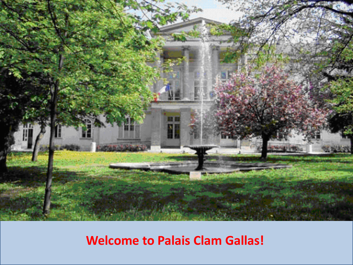

### **Welcome to Palais Clam Gallas!**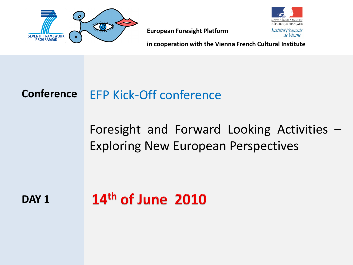



**in cooperation with the Vienna French Cultural Institute**

### **Conference** EFP Kick-Off conference

Foresight and Forward Looking Activities – Exploring New European Perspectives

**DAY 1**

# $14<sup>th</sup>$  of June 2010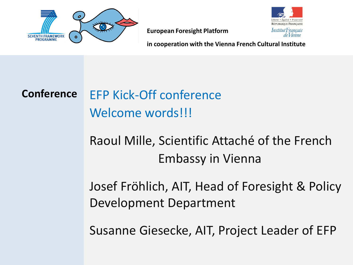



**in cooperation with the Vienna French Cultural Institute**

## **Conference** EFP Kick-Off conference Welcome words!!!

Raoul Mille, Scientific Attaché of the French Embassy in Vienna

Josef Fröhlich, AIT, Head of Foresight & Policy Development Department

Susanne Giesecke, AIT, Project Leader of EFP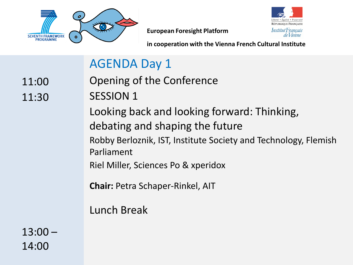



**in cooperation with the Vienna French Cultural Institute**

### AGENDA Day 1

11:00 11:30 Opening of the Conference SESSION 1

Looking back and looking forward: Thinking, debating and shaping the future Robby Berloznik, IST, Institute Society and Technology, Flemish Parliament

Riel Miller, Sciences Po & xperidox

**Chair:** Petra Schaper-Rinkel, AIT

Lunch Break

13:00 – 14:00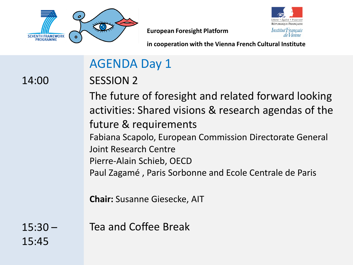



**in cooperation with the Vienna French Cultural Institute**

### AGENDA Day 1

14:00

SESSION 2

The future of foresight and related forward looking activities: Shared visions & research agendas of the future & requirements Fabiana Scapolo, European Commission Directorate General Joint Research Centre Pierre-Alain Schieb, OECD Paul Zagamé , Paris Sorbonne and Ecole Centrale de Paris

**Chair:** Susanne Giesecke, AIT

 $15:30 -$ 15:45 Tea and Coffee Break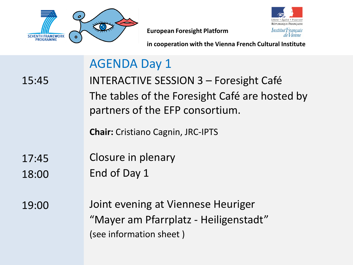



**in cooperation with the Vienna French Cultural Institute**

### AGENDA Day 1

15:45

INTERACTIVE SESSION 3 – Foresight Café The tables of the Foresight Café are hosted by partners of the EFP consortium.

**Chair:** Cristiano Cagnin, JRC-IPTS

- 17:45 Closure in plenary
- 18:00 End of Day 1
- 19:00 Joint evening at Viennese Heuriger "Mayer am Pfarrplatz - Heiligenstadt" (see information sheet )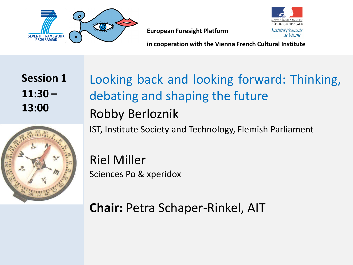



**in cooperation with the Vienna French Cultural Institute**

**Session 1 11:30 – 13:00**

Looking back and looking forward: Thinking, debating and shaping the future Robby Berloznik IST, Institute Society and Technology, Flemish Parliament

Riel Miller Sciences Po & xperidox

**Chair:** Petra Schaper-Rinkel, AIT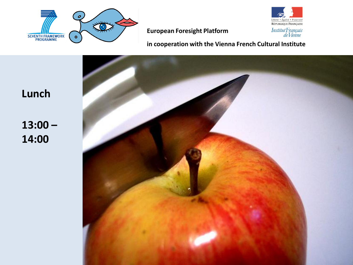



**in cooperation with the Vienna French Cultural Institute**



**Lunch**

**13:00 – 14:00**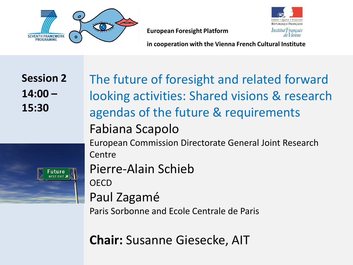

**RÉPUBLIQUE FRANCAISE** Institut Français de *Vienne* 

**European Foresight Platform**

**in cooperation with the Vienna French Cultural Institute**

**Session 2 14:00 – 15:30**

uture

The future of foresight and related forward looking activities: Shared visions & research agendas of the future & requirements Fabiana Scapolo European Commission Directorate General Joint Research Centre Pierre-Alain Schieb **OECD** Paul Zagamé Paris Sorbonne and Ecole Centrale de Paris

**Chair:** Susanne Giesecke, AIT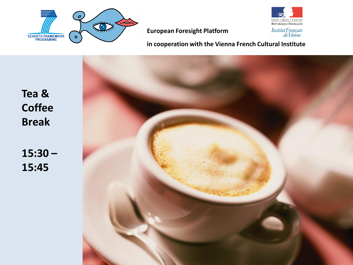



**in cooperation with the Vienna French Cultural Institute**

**Tea & Coffee Break**

**15:30 – 15:45**

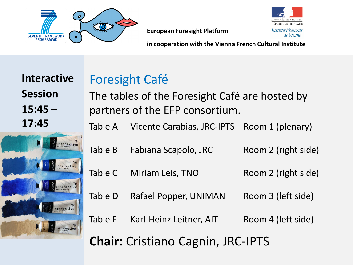

**RÉPUBLIQUE FRANCAISE** Institut Français de *Vienne* 

**European Foresight Platform**

**in cooperation with the Vienna French Cultural Institute**

**Interactive Session 15:45 – 17:45**



### Foresight Café The tables of the Foresight Café are hosted by partners of the EFP consortium.

Table A Vicente Carabias, JRC-IPTS Room 1 (plenary)

- Table B Fabiana Scapolo, JRC Room 2 (right side)
- Table C Miriam Leis, TNO Room 2 (right side)
- Table D Rafael Popper, UNIMAN Room 3 (left side)

Table E Karl-Heinz Leitner, AIT Room 4 (left side)

**Chair:** Cristiano Cagnin, JRC-IPTS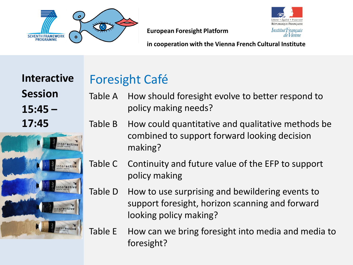



**in cooperation with the Vienna French Cultural Institute**

**Interactive Session 15:45 – 17:45**



### Foresight Café

- Table A How should foresight evolve to better respond to policy making needs?
- Table B How could quantitative and qualitative methods be combined to support forward looking decision making?
- Table C Continuity and future value of the EFP to support policy making
- Table D How to use surprising and bewildering events to support foresight, horizon scanning and forward looking policy making?
- Table E How can we bring foresight into media and media to foresight?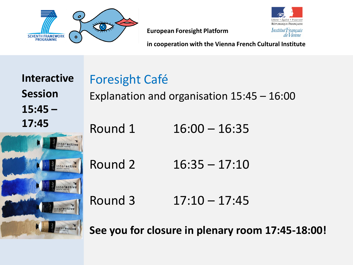



**in cooperation with the Vienna French Cultural Institute**

**Interactive Session 15:45 – 17:45**



| <b>Foresight Café</b>                        |                 |
|----------------------------------------------|-----------------|
| Explanation and organisation $15:45 - 16:00$ |                 |
| Round 1                                      | $16:00 - 16:35$ |
| Round 2                                      | $16:35 - 17:10$ |
| Round 3                                      | $17:10 - 17:45$ |

**See you for closure in plenary room 17:45-18:00!**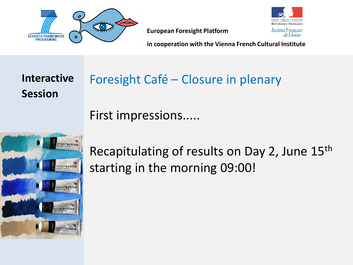



**in cooperation with the Vienna French Cultural Institute**

**Interactive Session** 

# Foresight Café – Closure in plenary

First impressions.....



Recapitulating of results on Day 2, June 15<sup>th</sup> starting in the morning 09:00!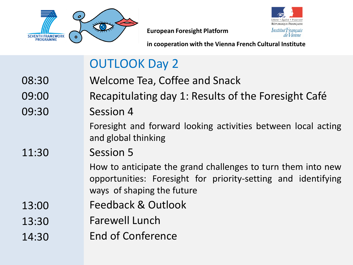



**in cooperation with the Vienna French Cultural Institute**

### OUTLOOK Day 2

- 08:30 09:00 09:30 11:30 13:00 13:30 Welcome Tea, Coffee and Snack Recapitulating day 1: Results of the Foresight Café Session 4 Foresight and forward looking activities between local acting and global thinking Session 5 How to anticipate the grand challenges to turn them into new opportunities: Foresight for priority-setting and identifying ways of shaping the future Feedback & Outlook Farewell Lunch
- 14:30 End of Conference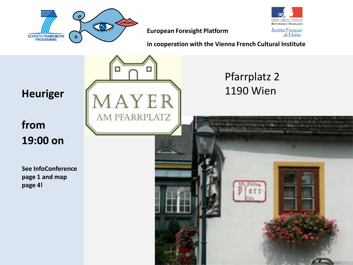

**in cooperation with the Vienna French Cultural Institute**

.<br>iberté • Égalité • Fraternité RÉPUBLIQUE FRANÇAISE Institut Français<br>de Vienne

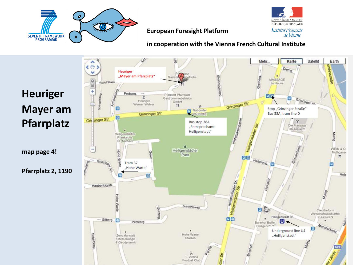



**in cooperation with the Vienna French Cultural Institute**